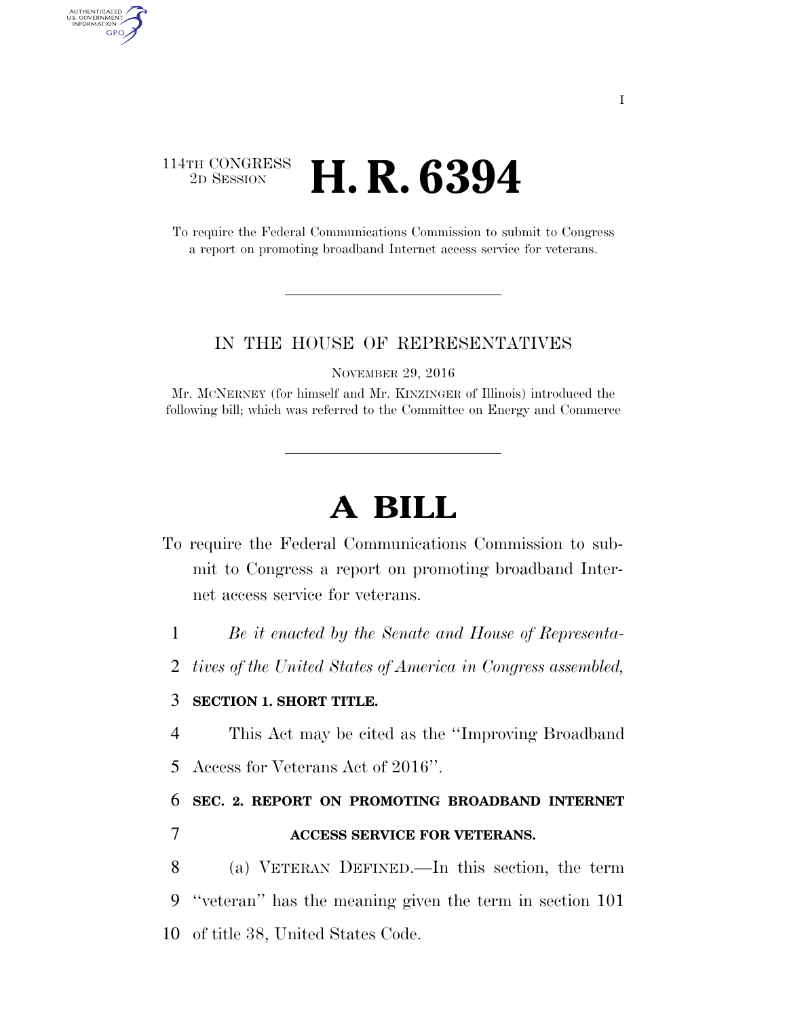### 114TH CONGRESS <sup>2D SESSION</sup> **H. R. 6394**

AUTHENTICATED U.S. GOVERNMENT GPO

> To require the Federal Communications Commission to submit to Congress a report on promoting broadband Internet access service for veterans.

#### IN THE HOUSE OF REPRESENTATIVES

NOVEMBER 29, 2016

Mr. MCNERNEY (for himself and Mr. KINZINGER of Illinois) introduced the following bill; which was referred to the Committee on Energy and Commerce

# **A BILL**

- To require the Federal Communications Commission to submit to Congress a report on promoting broadband Internet access service for veterans.
	- 1 *Be it enacted by the Senate and House of Representa-*
	- 2 *tives of the United States of America in Congress assembled,*

### 3 **SECTION 1. SHORT TITLE.**

- 4 This Act may be cited as the ''Improving Broadband
- 5 Access for Veterans Act of 2016''.

## 6 **SEC. 2. REPORT ON PROMOTING BROADBAND INTERNET**  7 **ACCESS SERVICE FOR VETERANS.**

8 (a) VETERAN DEFINED.—In this section, the term 9 ''veteran'' has the meaning given the term in section 101 10 of title 38, United States Code.